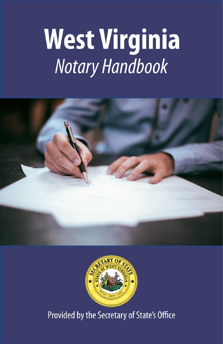# West Virginia





Provided by the Secretary of State's Office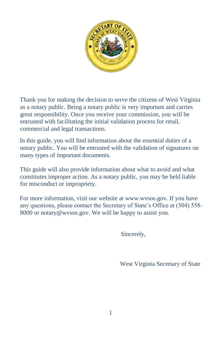

Thank you for making the decision to serve the citizens of West Virginia as a notary public. Being a notary public is very important and carries great responsibility. Once you receive your commission, you will be entrusted with facilitating the initial validation process for retail, commercial and legal transactions.

In this guide, you will find information about the essential duties of a notary public. You will be entrusted with the validation of signatures on many types of important documents.

This guide will also provide information about what to avoid and what constitutes improper action. As a notary public, you may be held liable for misconduct or impropriety.

For more information, visit our website at www.wvsos.gov. If you have any questions, please contact the Secretary of State's Office at (304) 558- 8000 or notary@wvsos.gov. We will be happy to assist you.

Sincerely,

West Virginia Secretary of State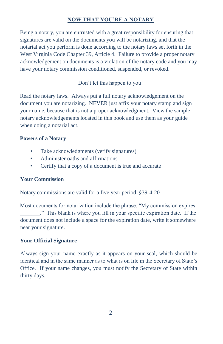## **NOW THAT YOU'RE A NOTARY**

Being a notary, you are entrusted with a great responsibility for ensuring that signatures are valid on the documents you will be notarizing, and that the notarial act you perform is done according to the notary laws set forth in the West Virginia Code Chapter 39, Article 4. Failure to provide a proper notary acknowledgement on documents is a violation of the notary code and you may have your notary commission conditioned, suspended, or revoked.

## Don't let this happen to you!

Read the notary laws. Always put a full notary acknowledgement on the document you are notarizing. NEVER just affix your notary stamp and sign your name, because that is not a proper acknowledgment. View the sample notary acknowledgements located in this book and use them as your guide when doing a notarial act.

#### **Powers of a Notary**

- Take acknowledgments (verify signatures)
- Administer oaths and affirmations
- Certify that a copy of a document is true and accurate

#### **Your Commission**

Notary commissions are valid for a five year period. §39-4-20

Most documents for notarization include the phrase, "My commission expires \_\_\_\_\_\_\_." This blank is where you fill in your specific expiration date. If the document does not include a space for the expiration date, write it somewhere near your signature.

#### **Your Official Signature**

Always sign your name exactly as it appears on your seal, which should be identical and in the same manner as to what is on file in the Secretary of State's Office. If your name changes, you must notify the Secretary of State within thirty days.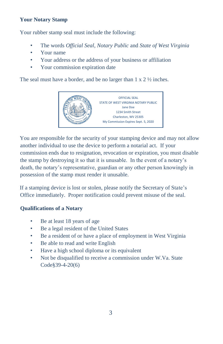## **Your Notary Stamp**

Your rubber stamp seal must include the following:

- The words *Official Seal*, *Notary Public* and *State of West Virginia*
- Your name
- Your address or the address of your business or affiliation
- Your commission expiration date

The seal must have a border, and be no larger than  $1 \times 2 \frac{1}{2}$  inches.



You are responsible for the security of your stamping device and may not allow another individual to use the device to perform a notarial act. If your commission ends due to resignation, revocation or expiration, you must disable the stamp by destroying it so that it is unusable. In the event of a notary's death, the notary's representative, guardian or any other person knowingly in possession of the stamp must render it unusable.

If a stamping device is lost or stolen, please notify the Secretary of State's Office immediately. Proper notification could prevent misuse of the seal.

# **Qualifications of a Notary**

- Be at least 18 years of age
- Be a legal resident of the United States
- Be a resident of or have a place of employment in West Virginia
- Be able to read and write English
- Have a high school diploma or its equivalent
- Not be disqualified to receive a commission under W.Va. State Code§39-4-20(6)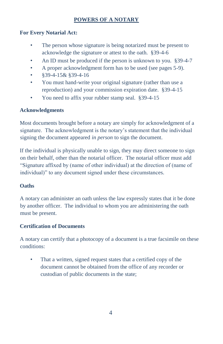# **POWERS OF A NOTARY**

## **For Every Notarial Act:**

- The person whose signature is being notarized must be present to acknowledge the signature or attest to the oath. §39-4-6
- An ID must be produced if the person is unknown to you. §39-4-7
- A proper acknowledgment form has to be used (see pages 5-9).
- §39-4-15& §39-4-16
- You must hand-write your original signature (rather than use a reproduction) and your commission expiration date. §39-4-15
- You need to affix your rubber stamp seal. §39-4-15

## **Acknowledgments**

Most documents brought before a notary are simply for acknowledgment of a signature. The acknowledgment is the notary's statement that the individual signing the document appeared *in person* to sign the document.

If the individual is physically unable to sign, they may direct someone to sign on their behalf, other than the notarial officer. The notarial officer must add "Signature affixed by (name of other individual) at the direction of (name of individual)" to any document signed under these circumstances.

# **Oaths**

A notary can administer an oath unless the law expressly states that it be done by another officer. The individual to whom you are administering the oath must be present.

# **Certification of Documents**

A notary can certify that a photocopy of a document is a true facsimile on these conditions:

• That a written, signed request states that a certified copy of the document cannot be obtained from the office of any recorder or custodian of public documents in the state;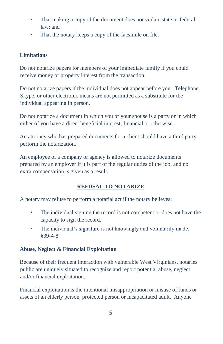- That making a copy of the document does not violate state or federal law; and
- That the notary keeps a copy of the facsimile on file.

# **Limitations**

Do not notarize papers for members of your immediate family if you could receive money or property interest from the transaction.

Do not notarize papers if the individual does not appear before you. Telephone, Skype, or other electronic means are not permitted as a substitute for the individual appearing in person.

Do not notarize a document in which you or your spouse is a party or in which either of you have a direct beneficial interest, financial or otherwise.

An attorney who has prepared documents for a client should have a third party perform the notarization.

An employee of a company or agency is allowed to notarize documents prepared by an employer if it is part of the regular duties of the job, and no extra compensation is given as a result.

# **REFUSAL TO NOTARIZE**

A notary may refuse to perform a notarial act if the notary believes:

- The individual signing the record is not competent or does not have the capacity to sign the record.
- The individual's signature is not knowingly and voluntarily made. §39-4-8

# **Abuse, Neglect & Financial Exploitation**

Because of their frequent interaction with vulnerable West Virginians, notaries public are uniquely situated to recognize and report potential abuse, neglect and/or financial exploitation.

Financial exploitation is the intentional misappropriation or misuse of funds or assets of an elderly person, protected person or incapacitated adult. Anyone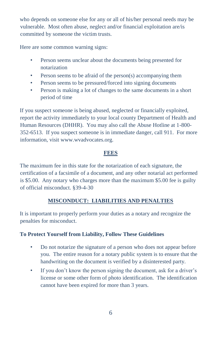who depends on someone else for any or all of his/her personal needs may be vulnerable. Most often abuse, neglect and/or financial exploitation are/is committed by someone the victim trusts.

Here are some common warning signs:

- Person seems unclear about the documents being presented for notarization
- Person seems to be afraid of the person(s) accompanying them
- Person seems to be pressured/forced into signing documents
- Person is making a lot of changes to the same documents in a short period of time

If you suspect someone is being abused, neglected or financially exploited, report the activity immediately to your local county Department of Health and Human Resources (DHHR). You may also call the Abuse Hotline at 1-800- 352-6513. If you suspect someone is in immediate danger, call 911. For more information, visit www.wvadvocates.org.

### **FEES**

The maximum fee in this state for the notarization of each signature, the certification of a facsimile of a document, and any other notarial act performed is \$5.00. Any notary who charges more than the maximum \$5.00 fee is guilty of official misconduct. §39-4-30

# **MISCONDUCT: LIABILITIES AND PENALTIES**

It is important to properly perform your duties as a notary and recognize the penalties for misconduct.

## **To Protect Yourself from Liability, Follow These Guidelines**

- Do not notarize the signature of a person who does not appear before you. The entire reason for a notary public system is to ensure that the handwriting on the document is verified by a disinterested party.
- If you don't know the person signing the document, ask for a driver's license or some other form of photo identification. The identification cannot have been expired for more than 3 years.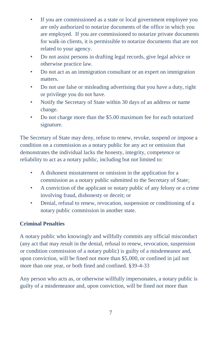- If you are commissioned as a state or local government employee you are only authorized to notarize documents of the office in which you are employed. If you are commissioned to notarize private documents for walk-in clients, it is permissible to notarize documents that are not related to your agency.
- Do not assist persons in drafting legal records, give legal advice or otherwise practice law.
- Do not act as an immigration consultant or an expert on immigration matters.
- Do not use false or misleading advertising that you have a duty, right or privilege you do not have.
- Notify the Secretary of State within 30 days of an address or name change.
- Do not charge more than the \$5.00 maximum fee for each notarized signature.

The Secretary of State may deny, refuse to renew, revoke, suspend or impose a condition on a commission as a notary public for any act or omission that demonstrates the individual lacks the honesty, integrity, competence or reliability to act as a notary public, including but not limited to:

- A dishonest misstatement or omission in the application for a commission as a notary public submitted to the Secretary of State;
- A conviction of the applicant or notary public of any felony or a crime involving fraud, dishonesty or deceit; or
- Denial, refusal to renew, revocation, suspension or conditioning of a notary public commission in another state.

# **Criminal Penalties**

A notary public who knowingly and willfully commits any official misconduct (any act that may result in the denial, refusal to renew, revocation, suspension or condition commission of a notary public) is guilty of a misdemeanor and, upon conviction, will be fined not more than \$5,000, or confined in jail not more than one year, or both fined and confined. §39-4-33

Any person who acts as, or otherwise willfully impersonates, a notary public is guilty of a misdemeanor and, upon conviction, will be fined not more than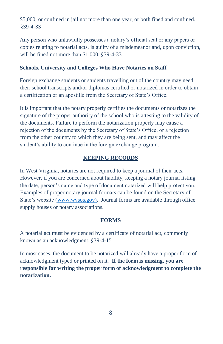\$5,000, or confined in jail not more than one year, or both fined and confined. §39-4-33

Any person who unlawfully possesses a notary's official seal or any papers or copies relating to notarial acts, is guilty of a misdemeanor and, upon conviction, will be fined not more than \$1,000. §39-4-33

#### **Schools, University and Colleges Who Have Notaries on Staff**

Foreign exchange students or students travelling out of the country may need their school transcripts and/or diplomas certified or notarized in order to obtain a certification or an apostille from the Secretary of State's Office.

It is important that the notary properly certifies the documents or notarizes the signature of the proper authority of the school who is attesting to the validity of the documents. Failure to perform the notarization properly may cause a rejection of the documents by the Secretary of State's Office, or a rejection from the other country to which they are being sent, and may affect the student's ability to continue in the foreign exchange program.

#### **KEEPING RECORDS**

In West Virginia, notaries are not required to keep a journal of their acts. However, if you are concerned about liability, keeping a notary journal listing the date, person's name and type of document notarized will help protect you. Examples of proper notary journal formats can be found on the Secretary of State's website [\(www.wvsos.gov\).](http://www.wvsos.gov)/) Journal forms are available through office supply houses or notary associations.

#### **FORMS**

A notarial act must be evidenced by a certificate of notarial act, commonly known as an acknowledgment. §39-4-15

In most cases, the document to be notarized will already have a proper form of acknowledgment typed or printed on it. **If the form is missing, you are responsible for writing the proper form of acknowledgment to complete the notarization.**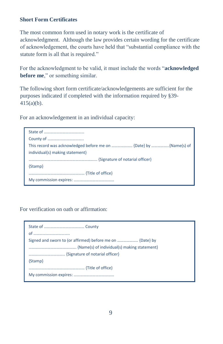## **Short Form Certificates**

The most common form used in notary work is the certificate of acknowledgment. Although the law provides certain wording for the certificate of acknowledgement, the courts have held that "substantial compliance with the statute form is all that is required."

For the acknowledgment to be valid, it must include the words "**acknowledged before me**," or something similar.

The following short form certificate/acknowledgements are sufficient for the purposes indicated if completed with the information required by §39- 415(a)(b).

For an acknowledgement in an individual capacity:

| individual(s) making statement} |
|---------------------------------|
|                                 |
| {Stamp}                         |
|                                 |
|                                 |

For verification on oath or affirmation: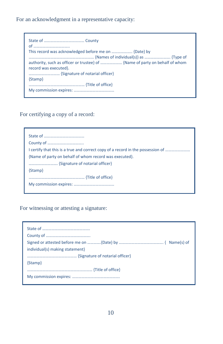For an acknowledgment in a representative capacity:

| This record was acknowledged before me on  {Date} by |
|------------------------------------------------------|
|                                                      |
|                                                      |
| record was executed}.                                |
|                                                      |
| {Stamp}                                              |
|                                                      |
|                                                      |

For certifying a copy of a record:

| Lertify that this is a true and correct copy of a record in the possession of |
|-------------------------------------------------------------------------------|
| {Name of party on behalf of whom record was executed}.                        |
|                                                                               |
| {Stamp}                                                                       |
|                                                                               |
|                                                                               |
|                                                                               |

For witnessing or attesting a signature:

| individual(s) making statement |
|--------------------------------|
|                                |
| {Stamp}                        |
|                                |
|                                |
|                                |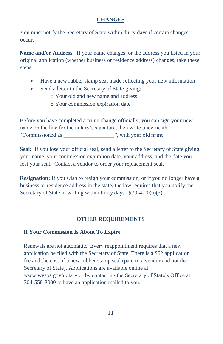## **CHANGES**

You must notify the Secretary of State within thirty days if certain changes occur.

**Name and/or Address**: If your name changes, or the address you listed in your original application (whether business or residence address) changes, take these steps:

- Have a new rubber stamp seal made reflecting your new information
- Send a letter to the Secretary of State giving:
	- o Your old and new name and address
	- o Your commission expiration date

Before you have completed a name change officially, you can sign your new name on the line for the notary's signature, then write underneath, "Commissioned as **\_\_\_\_\_\_\_\_\_\_\_\_\_\_\_\_\_\_**", with your old name.

Seal: If you lose your official seal, send a letter to the Secretary of State giving your name, your commission expiration date, your address, and the date you lost your seal. Contact a vendor to order your replacement seal.

**Resignation:** If you wish to resign your commission, or if you no longer have a business or residence address in the state, the law requires that you notify the Secretary of State in writing within thirty days. §39-4-20(a)(3)

## **OTHER REQUIREMENTS**

#### **If Your Commission Is About To Expire**

Renewals are not automatic. Every reappointment requires that a new application be filed with the Secretary of State. There is a \$52 application fee and the cost of a new rubber stamp seal (paid to a vendor and not the Secretary of State). Applications are available online at www.wvsos.gov/notary or by contacting the Secretary of State's Office at 304-558-8000 to have an application mailed to you.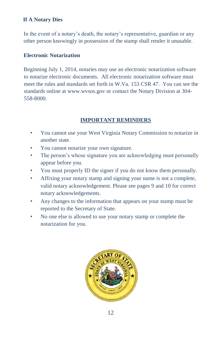## **If A Notary Dies**

In the event of a notary's death, the notary's representative, guardian or any other person knowingly in possession of the stamp shall render it unusable.

## **Electronic Notarization**

Beginning July 1, 2014, notaries may use an electronic notarization software to notarize electronic documents. All electronic notarization software must meet the rules and standards set forth in W.Va. 153 CSR 47. You can see the standards online at www.wvsos.gov or contact the Notary Division at 304- 558-8000.

# **IMPORTANT REMINDERS**

- You cannot use your West Virginia Notary Commission to notarize in another state.
- You cannot notarize your own signature.
- The person's whose signature you are acknowledging must personally appear before you.
- You must properly ID the signer if you do not know them personally.
- Affixing your notary stamp and signing your name is not a complete, valid notary acknowledgement. Please see pages 9 and 10 for correct notary acknowledgements.
- Any changes to the information that appears on your stamp must be reported to the Secretary of State.
- No one else is allowed to use your notary stamp or complete the notarization for you.